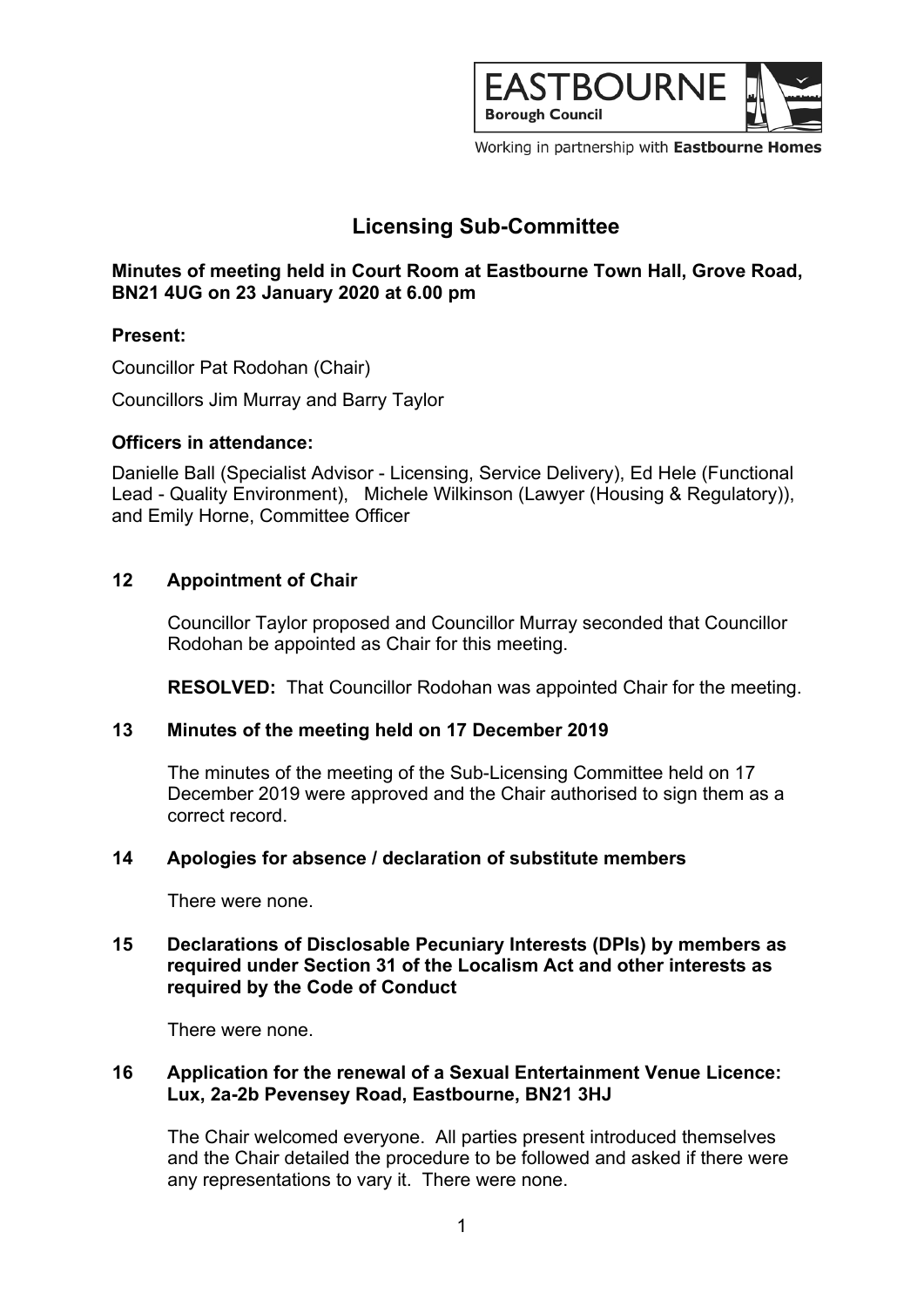

Working in partnership with Eastbourne Homes

# **Licensing Sub-Committee**

## **Minutes of meeting held in Court Room at Eastbourne Town Hall, Grove Road, BN21 4UG on 23 January 2020 at 6.00 pm**

## **Present:**

Councillor Pat Rodohan (Chair)

Councillors Jim Murray and Barry Taylor

### **Officers in attendance:**

Danielle Ball (Specialist Advisor - Licensing, Service Delivery), Ed Hele (Functional Lead - Quality Environment), Michele Wilkinson (Lawyer (Housing & Regulatory)), and Emily Horne, Committee Officer

## **12 Appointment of Chair**

Councillor Taylor proposed and Councillor Murray seconded that Councillor Rodohan be appointed as Chair for this meeting.

**RESOLVED:** That Councillor Rodohan was appointed Chair for the meeting.

### **13 Minutes of the meeting held on 17 December 2019**

The minutes of the meeting of the Sub-Licensing Committee held on 17 December 2019 were approved and the Chair authorised to sign them as a correct record.

## **14 Apologies for absence / declaration of substitute members**

There were none.

### **15 Declarations of Disclosable Pecuniary Interests (DPIs) by members as required under Section 31 of the Localism Act and other interests as required by the Code of Conduct**

There were none.

### **16 Application for the renewal of a Sexual Entertainment Venue Licence: Lux, 2a-2b Pevensey Road, Eastbourne, BN21 3HJ**

The Chair welcomed everyone. All parties present introduced themselves and the Chair detailed the procedure to be followed and asked if there were any representations to vary it. There were none.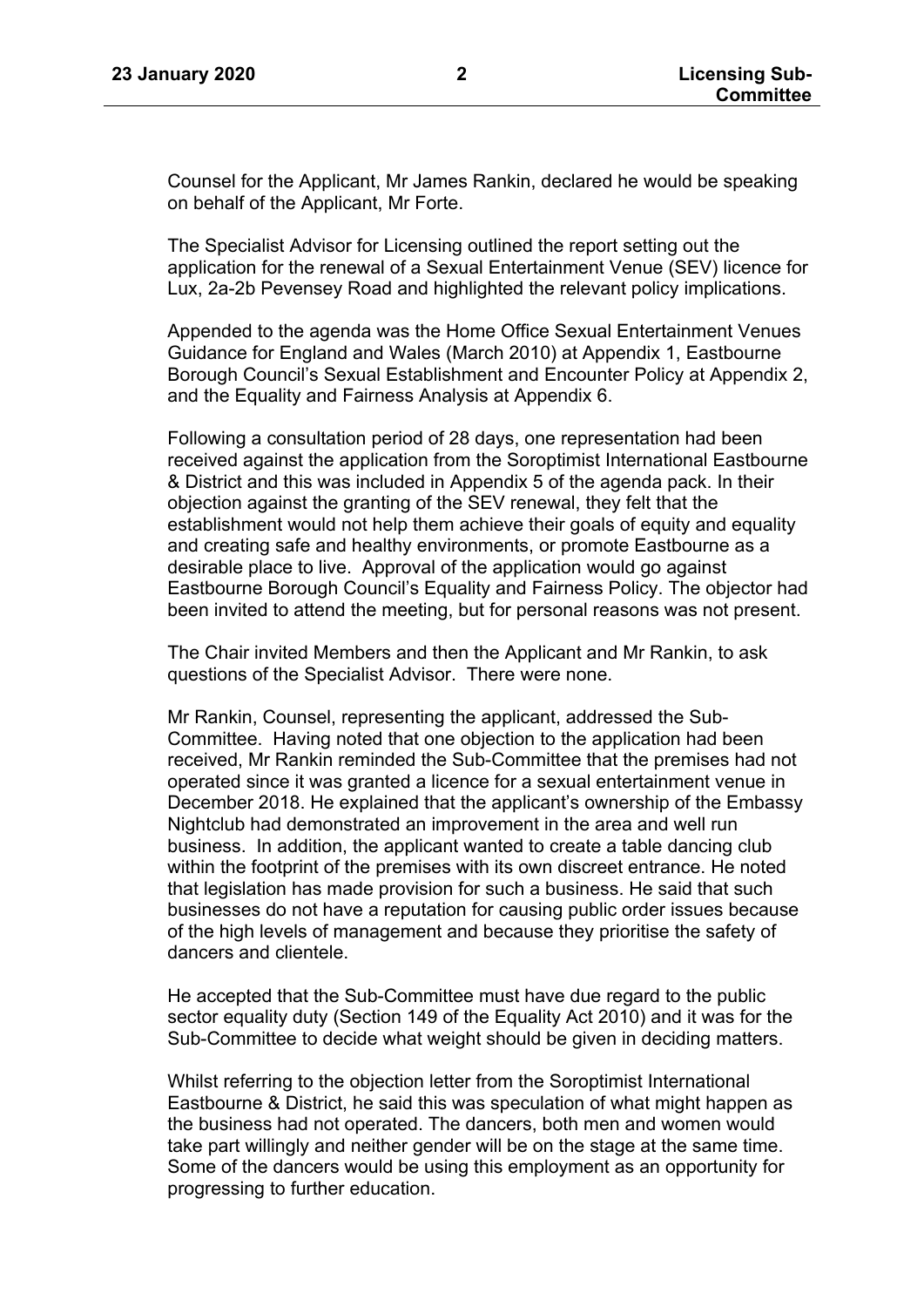Counsel for the Applicant, Mr James Rankin, declared he would be speaking on behalf of the Applicant, Mr Forte.

The Specialist Advisor for Licensing outlined the report setting out the application for the renewal of a Sexual Entertainment Venue (SEV) licence for Lux, 2a-2b Pevensey Road and highlighted the relevant policy implications.

Appended to the agenda was the Home Office Sexual Entertainment Venues Guidance for England and Wales (March 2010) at Appendix 1, Eastbourne Borough Council's Sexual Establishment and Encounter Policy at Appendix 2, and the Equality and Fairness Analysis at Appendix 6.

Following a consultation period of 28 days, one representation had been received against the application from the Soroptimist International Eastbourne & District and this was included in Appendix 5 of the agenda pack. In their objection against the granting of the SEV renewal, they felt that the establishment would not help them achieve their goals of equity and equality and creating safe and healthy environments, or promote Eastbourne as a desirable place to live. Approval of the application would go against Eastbourne Borough Council's Equality and Fairness Policy. The objector had been invited to attend the meeting, but for personal reasons was not present.

The Chair invited Members and then the Applicant and Mr Rankin, to ask questions of the Specialist Advisor. There were none.

Mr Rankin, Counsel, representing the applicant, addressed the Sub-Committee. Having noted that one objection to the application had been received, Mr Rankin reminded the Sub-Committee that the premises had not operated since it was granted a licence for a sexual entertainment venue in December 2018. He explained that the applicant's ownership of the Embassy Nightclub had demonstrated an improvement in the area and well run business. In addition, the applicant wanted to create a table dancing club within the footprint of the premises with its own discreet entrance. He noted that legislation has made provision for such a business. He said that such businesses do not have a reputation for causing public order issues because of the high levels of management and because they prioritise the safety of dancers and clientele.

He accepted that the Sub-Committee must have due regard to the public sector equality duty (Section 149 of the Equality Act 2010) and it was for the Sub-Committee to decide what weight should be given in deciding matters.

Whilst referring to the objection letter from the Soroptimist International Eastbourne & District, he said this was speculation of what might happen as the business had not operated. The dancers, both men and women would take part willingly and neither gender will be on the stage at the same time. Some of the dancers would be using this employment as an opportunity for progressing to further education.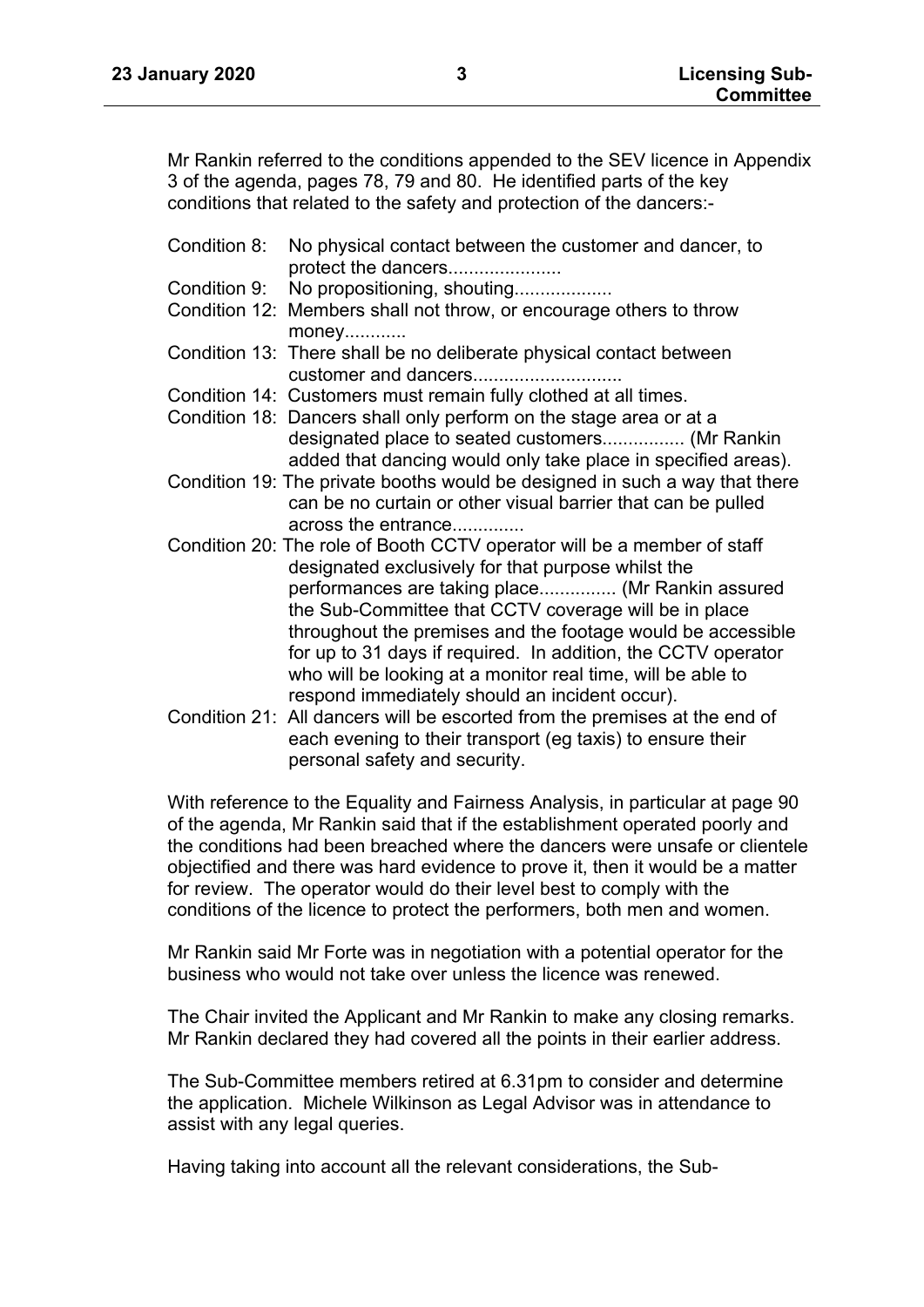Mr Rankin referred to the conditions appended to the SEV licence in Appendix 3 of the agenda, pages 78, 79 and 80. He identified parts of the key conditions that related to the safety and protection of the dancers:-

- Condition 8: No physical contact between the customer and dancer, to protect the dancers......................
- Condition 9: No propositioning, shouting...................
- Condition 12: Members shall not throw, or encourage others to throw money............
- Condition 13: There shall be no deliberate physical contact between customer and dancers.............................
- Condition 14: Customers must remain fully clothed at all times.
- Condition 18: Dancers shall only perform on the stage area or at a designated place to seated customers................ (Mr Rankin added that dancing would only take place in specified areas).
- Condition 19: The private booths would be designed in such a way that there can be no curtain or other visual barrier that can be pulled across the entrance..............
- Condition 20: The role of Booth CCTV operator will be a member of staff designated exclusively for that purpose whilst the performances are taking place............... (Mr Rankin assured the Sub-Committee that CCTV coverage will be in place throughout the premises and the footage would be accessible for up to 31 days if required. In addition, the CCTV operator who will be looking at a monitor real time, will be able to respond immediately should an incident occur).
- Condition 21: All dancers will be escorted from the premises at the end of each evening to their transport (eg taxis) to ensure their personal safety and security.

With reference to the Equality and Fairness Analysis, in particular at page 90 of the agenda, Mr Rankin said that if the establishment operated poorly and the conditions had been breached where the dancers were unsafe or clientele objectified and there was hard evidence to prove it, then it would be a matter for review. The operator would do their level best to comply with the conditions of the licence to protect the performers, both men and women.

Mr Rankin said Mr Forte was in negotiation with a potential operator for the business who would not take over unless the licence was renewed.

The Chair invited the Applicant and Mr Rankin to make any closing remarks. Mr Rankin declared they had covered all the points in their earlier address.

The Sub-Committee members retired at 6.31pm to consider and determine the application. Michele Wilkinson as Legal Advisor was in attendance to assist with any legal queries.

Having taking into account all the relevant considerations, the Sub-